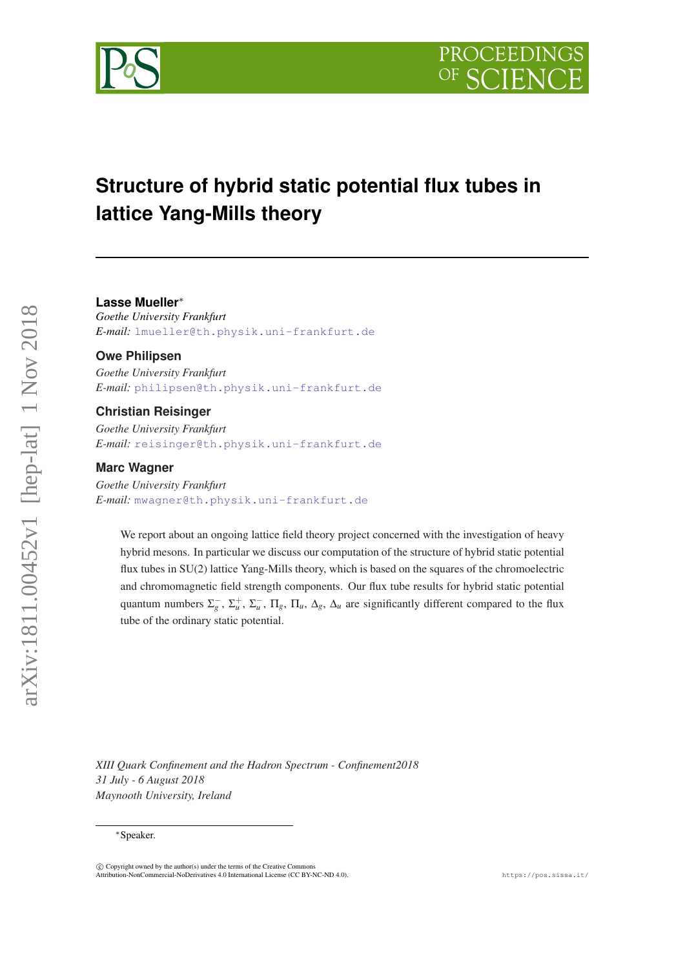

# **Structure of hybrid static potential flux tubes in lattice Yang-Mills theory**

#### **Lasse Mueller**∗

*Goethe University Frankfurt E-mail:* [lmueller@th.physik.uni-frankfurt.de](mailto:lmueller@th.physik.uni-frankfurt.de)

#### **Owe Philipsen**

*Goethe University Frankfurt E-mail:* [philipsen@th.physik.uni-frankfurt.de](mailto:philipsen@th.physik.uni-frankfurt.de)

#### **Christian Reisinger**

*Goethe University Frankfurt E-mail:* [reisinger@th.physik.uni-frankfurt.de](mailto:reisinger@th.physik.uni-frankfurt.de)

## **Marc Wagner**

*Goethe University Frankfurt E-mail:* [mwagner@th.physik.uni-frankfurt.de](mailto:mwagner@th.physik.uni-frankfurt.de)

We report about an ongoing lattice field theory project concerned with the investigation of heavy hybrid mesons. In particular we discuss our computation of the structure of hybrid static potential flux tubes in SU(2) lattice Yang-Mills theory, which is based on the squares of the chromoelectric and chromomagnetic field strength components. Our flux tube results for hybrid static potential quantum numbers  $\Sigma_g^-$ ,  $\Sigma_u^+$ ,  $\Sigma_u^-$ ,  $\Pi_g$ ,  $\Pi_u$ ,  $\Delta_g$ ,  $\Delta_u$  are significantly different compared to the flux tube of the ordinary static potential.

*XIII Quark Confinement and the Hadron Spectrum - Confinement2018 31 July - 6 August 2018 Maynooth University, Ireland*

#### ∗Speaker.

 $\overline{c}$  Copyright owned by the author(s) under the terms of the Creative Common Attribution-NonCommercial-NoDerivatives 4.0 International License (CC BY-NC-ND 4.0). https://pos.sissa.it/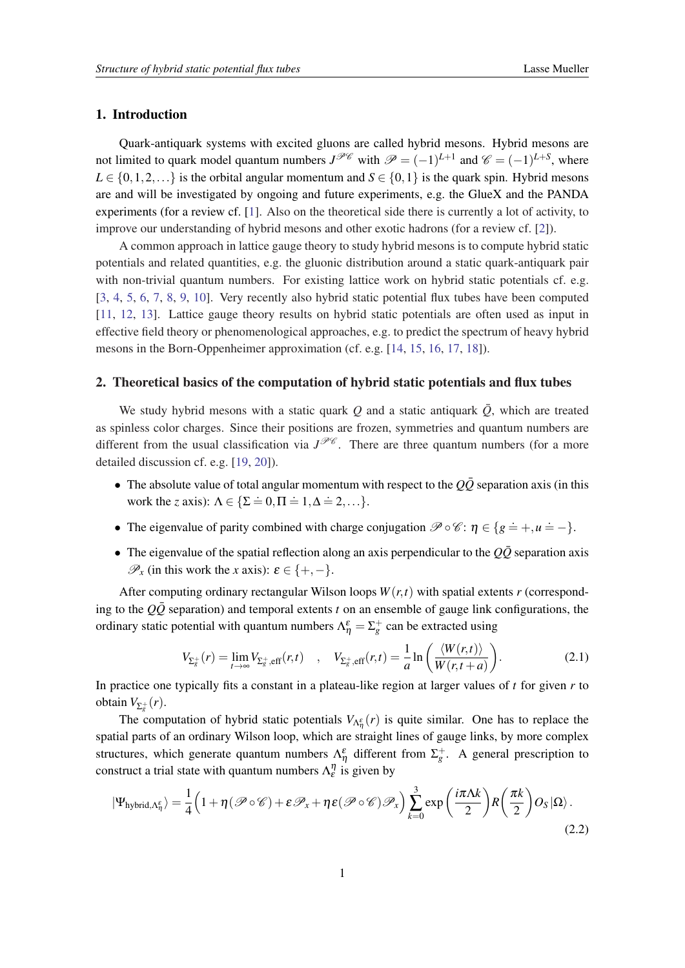### <span id="page-1-0"></span>1. Introduction

Quark-antiquark systems with excited gluons are called hybrid mesons. Hybrid mesons are not limited to quark model quantum numbers  $J^{\mathcal{P} \mathcal{C}}$  with  $\mathcal{P} = (-1)^{L+1}$  and  $\mathcal{C} = (-1)^{L+S}$ , where  $L \in \{0, 1, 2, \ldots\}$  is the orbital angular momentum and  $S \in \{0, 1\}$  is the quark spin. Hybrid mesons are and will be investigated by ongoing and future experiments, e.g. the GlueX and the PANDA experiments (for a review cf. [\[1\]](#page-6-0). Also on the theoretical side there is currently a lot of activity, to improve our understanding of hybrid mesons and other exotic hadrons (for a review cf. [[2\]](#page-7-0)).

A common approach in lattice gauge theory to study hybrid mesons is to compute hybrid static potentials and related quantities, e.g. the gluonic distribution around a static quark-antiquark pair with non-trivial quantum numbers. For existing lattice work on hybrid static potentials cf. e.g. [[3](#page-7-0), [4](#page-7-0), [5,](#page-7-0) [6](#page-7-0), [7,](#page-7-0) [8](#page-7-0), [9](#page-7-0), [10](#page-7-0)]. Very recently also hybrid static potential flux tubes have been computed [[11,](#page-7-0) [12,](#page-7-0) [13](#page-7-0)]. Lattice gauge theory results on hybrid static potentials are often used as input in effective field theory or phenomenological approaches, e.g. to predict the spectrum of heavy hybrid mesons in the Born-Oppenheimer approximation (cf. e.g. [[14,](#page-7-0) [15,](#page-7-0) [16](#page-7-0), [17,](#page-7-0) [18](#page-7-0)]).

# 2. Theoretical basics of the computation of hybrid static potentials and flux tubes

We study hybrid mesons with a static quark *Q* and a static antiquark  $\overline{Q}$ , which are treated as spinless color charges. Since their positions are frozen, symmetries and quantum numbers are different from the usual classification via  $J^{\mathcal{P}\mathcal{C}}$ . There are three quantum numbers (for a more detailed discussion cf. e.g. [[19,](#page-7-0) [20](#page-7-0)]).

- The absolute value of total angular momentum with respect to the  $Q\bar{Q}$  separation axis (in this work the *z* axis):  $\Lambda \in \{\Sigma \doteq 0, \Pi \doteq 1, \Delta \doteq 2, \ldots\}.$
- The eigenvalue of parity combined with charge conjugation  $\mathscr{P} \circ \mathscr{C} \colon \eta \in \{g \doteq +, u \doteq -\}.$
- The eigenvalue of the spatial reflection along an axis perpendicular to the  $Q\bar{Q}$  separation axis  $\mathscr{P}_x$  (in this work the *x* axis):  $\varepsilon \in \{+, -\}.$

After computing ordinary rectangular Wilson loops  $W(r,t)$  with spatial extents *r* (corresponding to the  $Q\overline{Q}$  separation) and temporal extents *t* on an ensemble of gauge link configurations, the ordinary static potential with quantum numbers  $\Lambda_{\eta}^{\varepsilon} = \Sigma_g^+$  can be extracted using

$$
V_{\Sigma_{g}^{+}}(r) = \lim_{t \to \infty} V_{\Sigma_{g}^{+},\text{eff}}(r,t) \quad , \quad V_{\Sigma_{g}^{+},\text{eff}}(r,t) = \frac{1}{a} \ln \left( \frac{\langle W(r,t) \rangle}{W(r,t+a)} \right). \tag{2.1}
$$

In practice one typically fits a constant in a plateau-like region at larger values of *t* for given *r* to obtain  $V_{\Sigma_{g}^{+}}(r)$ .

The computation of hybrid static potentials  $V_{\Lambda^{\varepsilon}_{\eta}}(r)$  is quite similar. One has to replace the spatial parts of an ordinary Wilson loop, which are straight lines of gauge links, by more complex structures, which generate quantum numbers  $\Lambda_{\eta}^{\varepsilon}$  different from  $\Sigma_{g}^{+}$ . A general prescription to construct a trial state with quantum numbers  $\Lambda_{\varepsilon}^{\eta}$  is given by

$$
|\Psi_{\text{hybrid},\Lambda_{\eta}^{\varepsilon}}\rangle = \frac{1}{4} \Big( 1 + \eta (\mathscr{P} \circ \mathscr{C}) + \varepsilon \mathscr{P}_{x} + \eta \varepsilon (\mathscr{P} \circ \mathscr{C}) \mathscr{P}_{x} \Big) \sum_{k=0}^{3} \exp \bigg( \frac{i\pi \Lambda k}{2} \bigg) R \bigg( \frac{\pi k}{2} \bigg) O_{S} |\Omega \rangle. \tag{2.2}
$$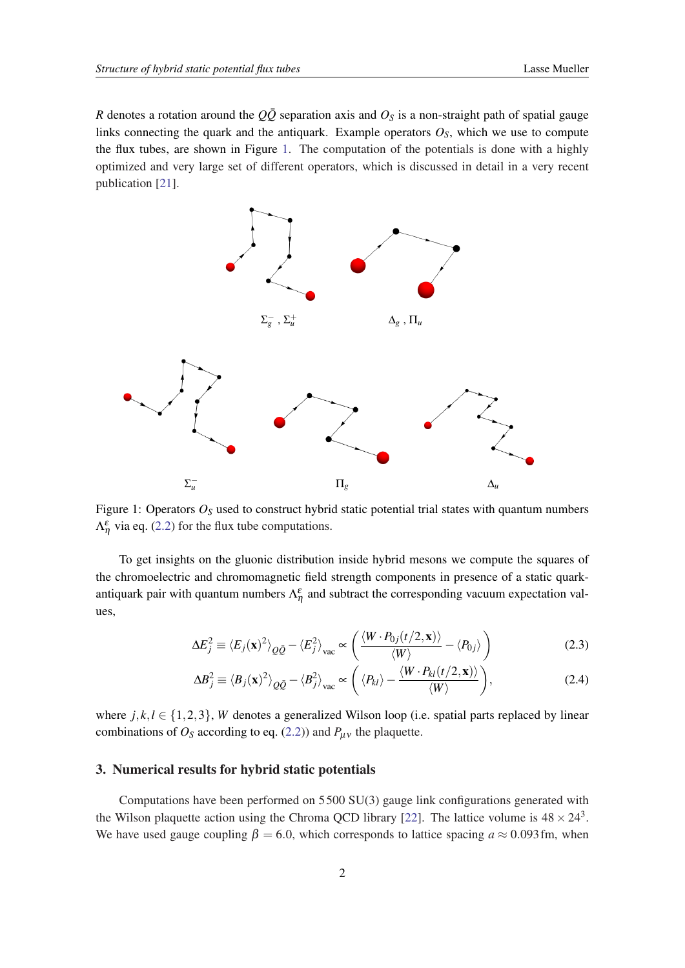<span id="page-2-0"></span>*R* denotes a rotation around the  $Q\bar{Q}$  separation axis and  $O<sub>S</sub>$  is a non-straight path of spatial gauge links connecting the quark and the antiquark. Example operators  $O<sub>S</sub>$ , which we use to compute the flux tubes, are shown in Figure 1. The computation of the potentials is done with a highly optimized and very large set of different operators, which is discussed in detail in a very recent publication [[21\]](#page-7-0).



Figure 1: Operators  $O<sub>S</sub>$  used to construct hybrid static potential trial states with quantum numbers  $\Lambda_{\eta}^{\varepsilon}$  via eq. ([2.2\)](#page-1-0) for the flux tube computations.

To get insights on the gluonic distribution inside hybrid mesons we compute the squares of the chromoelectric and chromomagnetic field strength components in presence of a static quarkantiquark pair with quantum numbers  $\Lambda_{\eta}^{\varepsilon}$  and subtract the corresponding vacuum expectation values,

$$
\Delta E_j^2 \equiv \langle E_j(\mathbf{x})^2 \rangle_{Q\bar{Q}} - \langle E_j^2 \rangle_{\text{vac}} \propto \left( \frac{\langle W \cdot P_{0j}(t/2, \mathbf{x}) \rangle}{\langle W \rangle} - \langle P_{0j} \rangle \right)
$$
(2.3)

$$
\Delta B_j^2 \equiv \langle B_j(\mathbf{x})^2 \rangle_{Q\bar{Q}} - \langle B_j^2 \rangle_{\text{vac}} \propto \left( \langle P_{kl} \rangle - \frac{\langle W \cdot P_{kl}(t/2, \mathbf{x}) \rangle}{\langle W \rangle} \right), \tag{2.4}
$$

where  $j, k, l \in \{1, 2, 3\}$ , *W* denotes a generalized Wilson loop (i.e. spatial parts replaced by linear combinations of  $O_S$  according to eq. [\(2.2\)](#page-1-0)) and  $P_{\mu\nu}$  the plaquette.

## 3. Numerical results for hybrid static potentials

Computations have been performed on  $5500 \text{ SU}(3)$  gauge link configurations generated with the Wilson plaquette action using the Chroma QCD library [[22\]](#page-7-0). The lattice volume is  $48 \times 24^3$ . We have used gauge coupling  $\beta = 6.0$ , which corresponds to lattice spacing  $a \approx 0.093$  fm, when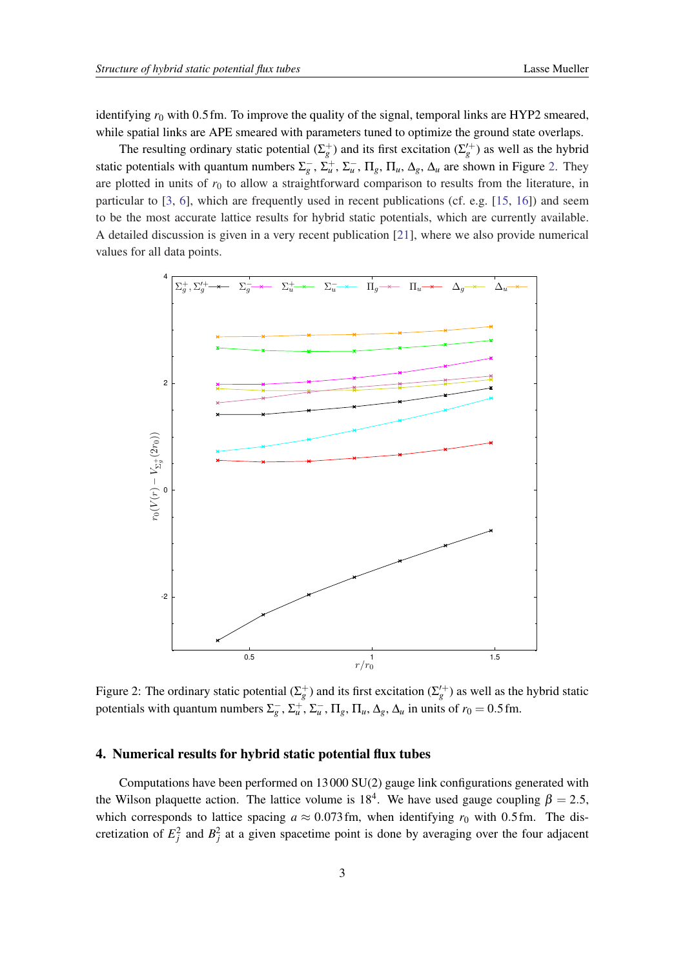identifying  $r_0$  with 0.5 fm. To improve the quality of the signal, temporal links are HYP2 smeared, while spatial links are APE smeared with parameters tuned to optimize the ground state overlaps.

The resulting ordinary static potential  $(\Sigma_g^+)$  and its first excitation  $(\Sigma_g'^+)$  as well as the hybrid static potentials with quantum numbers  $\Sigma_g^-$ ,  $\Sigma_u^+$ ,  $\Sigma_u^-$ ,  $\Pi_g$ ,  $\Pi_u$ ,  $\Delta_g$ ,  $\Delta_u$  are shown in Figure 2. They are plotted in units of  $r_0$  to allow a straightforward comparison to results from the literature, in particular to [\[3,](#page-7-0) [6\]](#page-7-0), which are frequently used in recent publications (cf. e.g. [\[15](#page-7-0), [16](#page-7-0)]) and seem to be the most accurate lattice results for hybrid static potentials, which are currently available. A detailed discussion is given in a very recent publication [\[21](#page-7-0)], where we also provide numerical values for all data points.



Figure 2: The ordinary static potential  $(\Sigma_g^+)$  and its first excitation  $(\Sigma_g'^+)$  as well as the hybrid static potentials with quantum numbers  $\Sigma_g^-$ ,  $\Sigma_u^+$ ,  $\Sigma_u^-$ ,  $\Pi_g$ ,  $\Pi_u$ ,  $\Delta_g$ ,  $\Delta_u$  in units of  $r_0 = 0.5$  fm.

# 4. Numerical results for hybrid static potential flux tubes

Computations have been performed on  $13\,000\,SU(2)$  gauge link configurations generated with the Wilson plaquette action. The lattice volume is 18<sup>4</sup>. We have used gauge coupling  $\beta = 2.5$ , which corresponds to lattice spacing  $a \approx 0.073$  fm, when identifying  $r_0$  with 0.5 fm. The discretization of  $E_j^2$  and  $B_j^2$  at a given spacetime point is done by averaging over the four adjacent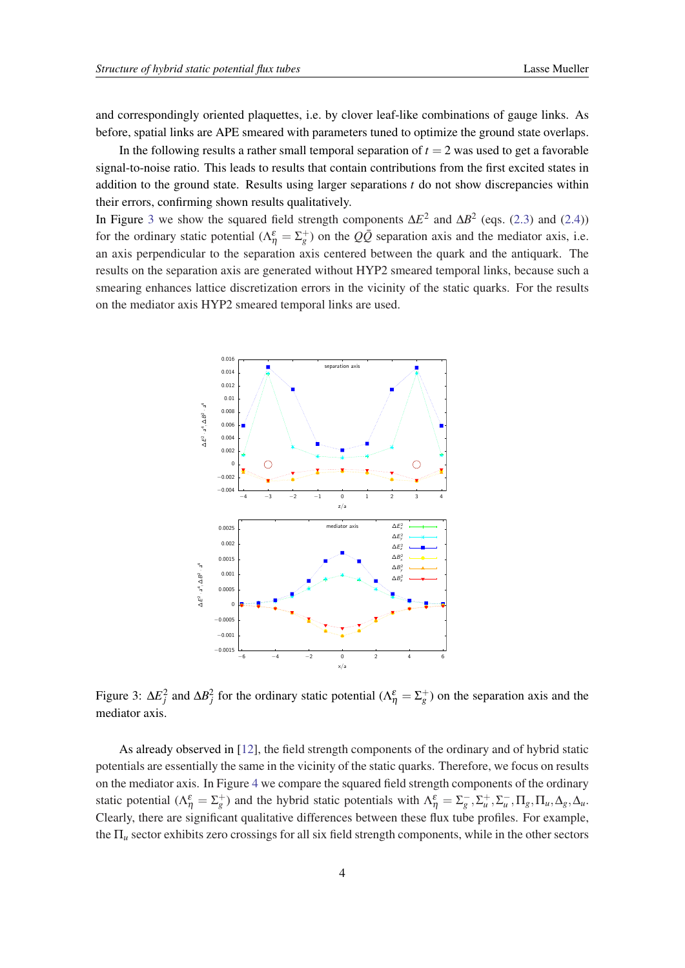and correspondingly oriented plaquettes, i.e. by clover leaf-like combinations of gauge links. As before, spatial links are APE smeared with parameters tuned to optimize the ground state overlaps.

In the following results a rather small temporal separation of  $t = 2$  was used to get a favorable signal-to-noise ratio. This leads to results that contain contributions from the first excited states in addition to the ground state. Results using larger separations *t* do not show discrepancies within their errors, confirming shown results qualitatively.

In Figure 3 we show the squared field strength components  $\Delta E^2$  and  $\Delta B^2$  (eqs. ([2.3](#page-2-0)) and [\(2.4\)](#page-2-0)) for the ordinary static potential  $(\Lambda_{\eta}^{\varepsilon} = \Sigma_{g}^{+})$  on the  $Q\overline{Q}$  separation axis and the mediator axis, i.e. an axis perpendicular to the separation axis centered between the quark and the antiquark. The results on the separation axis are generated without HYP2 smeared temporal links, because such a smearing enhances lattice discretization errors in the vicinity of the static quarks. For the results on the mediator axis HYP2 smeared temporal links are used.



Figure 3:  $\Delta E_j^2$  and  $\Delta B_j^2$  for the ordinary static potential ( $\Lambda_\eta^{\varepsilon} = \Sigma_g^+$ ) on the separation axis and the mediator axis.

As already observed in [[12\]](#page-7-0), the field strength components of the ordinary and of hybrid static potentials are essentially the same in the vicinity of the static quarks. Therefore, we focus on results on the mediator axis. In Figure [4](#page-5-0) we compare the squared field strength components of the ordinary static potential  $(\Lambda_{\eta}^{\varepsilon} = \Sigma_{g}^{+})$  and the hybrid static potentials with  $\Lambda_{\eta}^{\varepsilon} = \Sigma_{g}^{-}$ ,  $\Sigma_{u}^{+}$ ,  $\Sigma_{u}^{-}$ ,  $\Pi_{g}$ ,  $\Pi_{u}$ ,  $\Delta_{g}$ ,  $\Delta_{u}$ . Clearly, there are significant qualitative differences between these flux tube profiles. For example, the Π*<sup>u</sup>* sector exhibits zero crossings for all six field strength components, while in the other sectors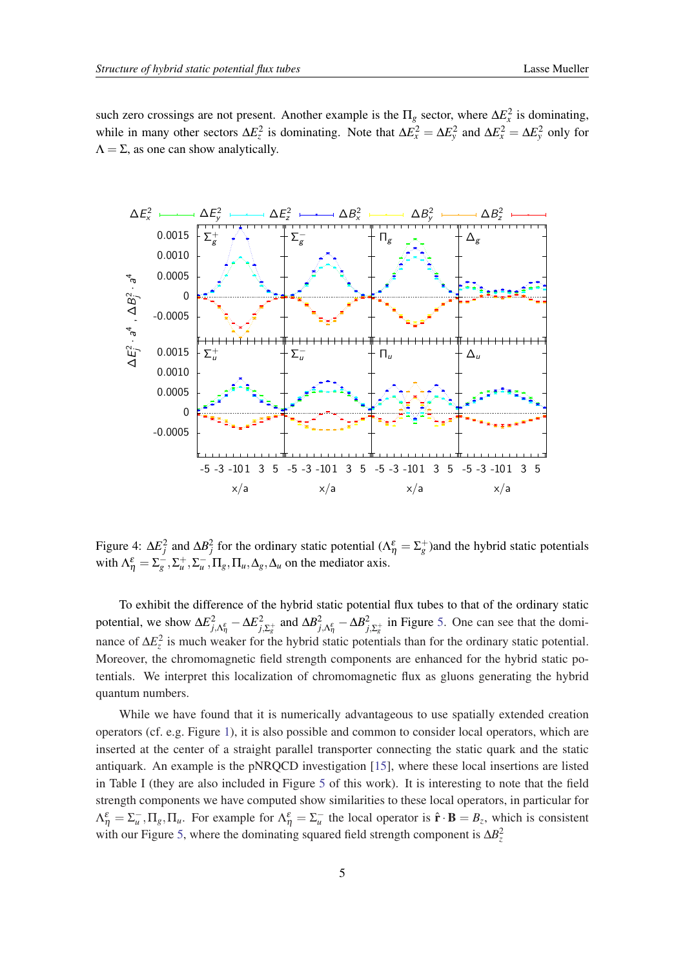<span id="page-5-0"></span>such zero crossings are not present. Another example is the  $\Pi_g$  sector, where  $\Delta E_x^2$  is dominating, while in many other sectors  $\Delta E_z^2$  is dominating. Note that  $\Delta E_x^2 = \Delta E_y^2$  and  $\Delta E_x^2 = \Delta E_y^2$  only for  $\Lambda = \Sigma$ , as one can show analytically.



Figure 4:  $\Delta E_j^2$  and  $\Delta B_j^2$  for the ordinary static potential ( $\Delta \eta = \Sigma_g^+$ )and the hybrid static potentials with  $\Lambda_{\eta}^{\varepsilon} = \Sigma_g^-$ ,  $\Sigma_u^+$ ,  $\Sigma_u^-$ ,  $\Pi_g$ ,  $\Pi_u$ ,  $\Delta_g$ ,  $\Delta_u$  on the mediator axis.

To exhibit the difference of the hybrid static potential flux tubes to that of the ordinary static potential, we show  $\Delta E_{j,\Lambda_{\eta}}^2 - \Delta E_{j,\Lambda_{\eta}}^2$ <sup>2</sup><sub>*j*,Σ<sub>*g*</sub></sub> and  $ΔB$ <sup>2</sup><sub>*j*</sub>,Λ<sub>*g*</sub></sub>  $-ΔB$ <sub>*j*</sub>  $\frac{2}{f_1 \Sigma_g^+}$  in Figure [5.](#page-6-0) One can see that the dominance of Δ*E*<sup>2</sup><sub>*z*</sub> is much weaker for the hybrid static potentials than for the ordinary static potential. Moreover, the chromomagnetic field strength components are enhanced for the hybrid static potentials. We interpret this localization of chromomagnetic flux as gluons generating the hybrid quantum numbers.

While we have found that it is numerically advantageous to use spatially extended creation operators (cf. e.g. Figure [1](#page-2-0)), it is also possible and common to consider local operators, which are inserted at the center of a straight parallel transporter connecting the static quark and the static antiquark. An example is the pNRQCD investigation [\[15](#page-7-0)], where these local insertions are listed in Table I (they are also included in Figure [5](#page-6-0) of this work). It is interesting to note that the field strength components we have computed show similarities to these local operators, in particular for  $\Lambda_{\eta}^{\varepsilon} = \Sigma_{u}^{-}$ ,  $\Pi_{g}$ ,  $\Pi_{u}$ . For example for  $\Lambda_{\eta}^{\varepsilon} = \Sigma_{u}^{-}$  the local operator is  $\hat{\mathbf{r}} \cdot \mathbf{B} = B_{z}$ , which is consistent with our Figure [5](#page-6-0), where the dominating squared field strength component is  $\Delta B_z^2$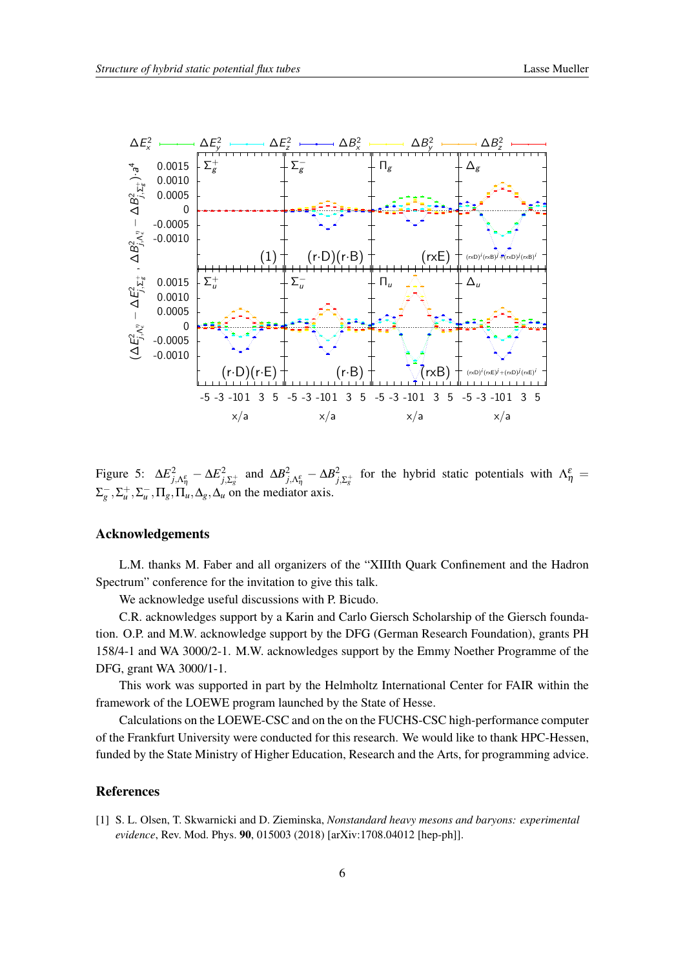<span id="page-6-0"></span>

Figure 5:  $\Delta E_{j,\Lambda_{\eta}}^2 - \Delta E_{j,\Lambda_{\eta}}^2$ <sup>2</sup><sub>*j*,Σ<sup>+</sup><sub>*g*</sub></sub> and  $ΔB$ <sup>2</sup><sub>*j*</sub>,Λ<sub>*β*</sub> –  $ΔB$ <sup>2</sup><sub>*j*</sub> <sup>2</sup><sub>*j*,Σ<sup> $+$ </sup></sub> for the hybrid static potentials with  $Λ^ε_\eta$  =  $\Sigma_g^-$ ,  $\Sigma_u^+$ ,  $\Sigma_u^-$ ,  $\Pi_g$ ,  $\Pi_u$ ,  $\Delta_g$ ,  $\Delta_u$  on the mediator axis.

# Acknowledgements

L.M. thanks M. Faber and all organizers of the "XIIIth Quark Confinement and the Hadron Spectrum" conference for the invitation to give this talk.

We acknowledge useful discussions with P. Bicudo.

C.R. acknowledges support by a Karin and Carlo Giersch Scholarship of the Giersch foundation. O.P. and M.W. acknowledge support by the DFG (German Research Foundation), grants PH 158/4-1 and WA 3000/2-1. M.W. acknowledges support by the Emmy Noether Programme of the DFG, grant WA 3000/1-1.

This work was supported in part by the Helmholtz International Center for FAIR within the framework of the LOEWE program launched by the State of Hesse.

Calculations on the LOEWE-CSC and on the on the FUCHS-CSC high-performance computer of the Frankfurt University were conducted for this research. We would like to thank HPC-Hessen, funded by the State Ministry of Higher Education, Research and the Arts, for programming advice.

### References

[1] S. L. Olsen, T. Skwarnicki and D. Zieminska, *Nonstandard heavy mesons and baryons: experimental evidence*, Rev. Mod. Phys. 90, 015003 (2018) [arXiv:1708.04012 [hep-ph]].